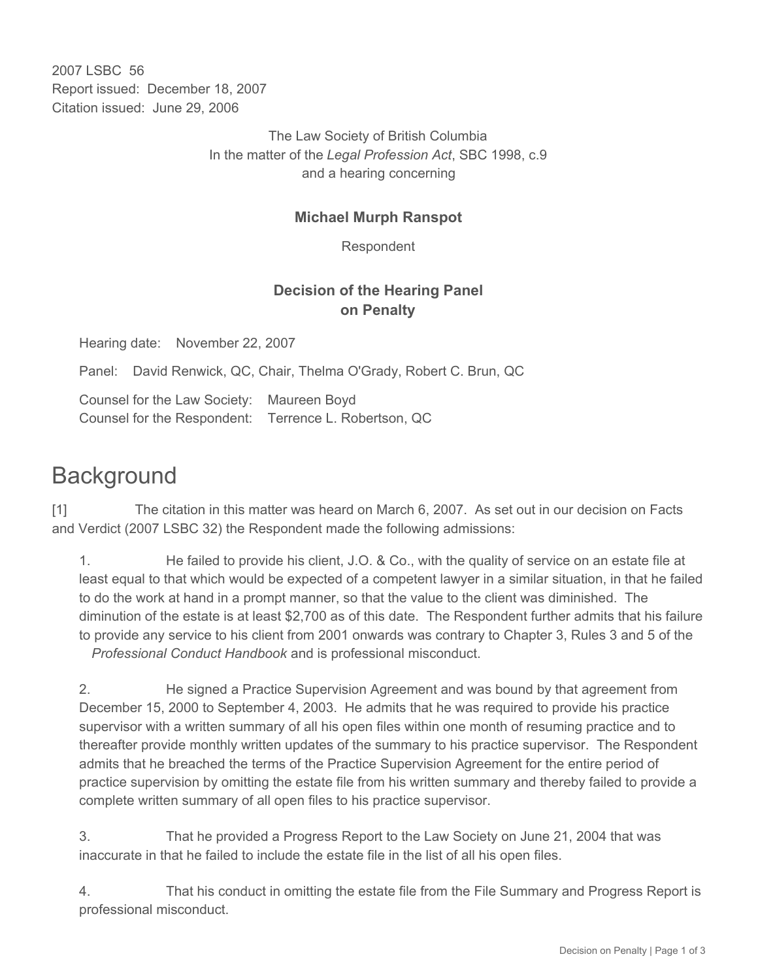2007 LSBC 56 Report issued: December 18, 2007 Citation issued: June 29, 2006

> The Law Society of British Columbia In the matter of the *Legal Profession Act*, SBC 1998, c.9 and a hearing concerning

## **Michael Murph Ranspot**

Respondent

## **Decision of the Hearing Panel on Penalty**

Hearing date: November 22, 2007

Panel: David Renwick, QC, Chair, Thelma O'Grady, Robert C. Brun, QC

Counsel for the Law Society: Maureen Boyd Counsel for the Respondent: Terrence L. Robertson, QC

# **Background**

[1] The citation in this matter was heard on March 6, 2007. As set out in our decision on Facts and Verdict (2007 LSBC 32) the Respondent made the following admissions:

1. He failed to provide his client, J.O. & Co., with the quality of service on an estate file at least equal to that which would be expected of a competent lawyer in a similar situation, in that he failed to do the work at hand in a prompt manner, so that the value to the client was diminished. The diminution of the estate is at least \$2,700 as of this date. The Respondent further admits that his failure to provide any service to his client from 2001 onwards was contrary to Chapter 3, Rules 3 and 5 of the *Professional Conduct Handbook* and is professional misconduct.

2. He signed a Practice Supervision Agreement and was bound by that agreement from December 15, 2000 to September 4, 2003. He admits that he was required to provide his practice supervisor with a written summary of all his open files within one month of resuming practice and to thereafter provide monthly written updates of the summary to his practice supervisor. The Respondent admits that he breached the terms of the Practice Supervision Agreement for the entire period of practice supervision by omitting the estate file from his written summary and thereby failed to provide a complete written summary of all open files to his practice supervisor.

3. That he provided a Progress Report to the Law Society on June 21, 2004 that was inaccurate in that he failed to include the estate file in the list of all his open files.

4. That his conduct in omitting the estate file from the File Summary and Progress Report is professional misconduct.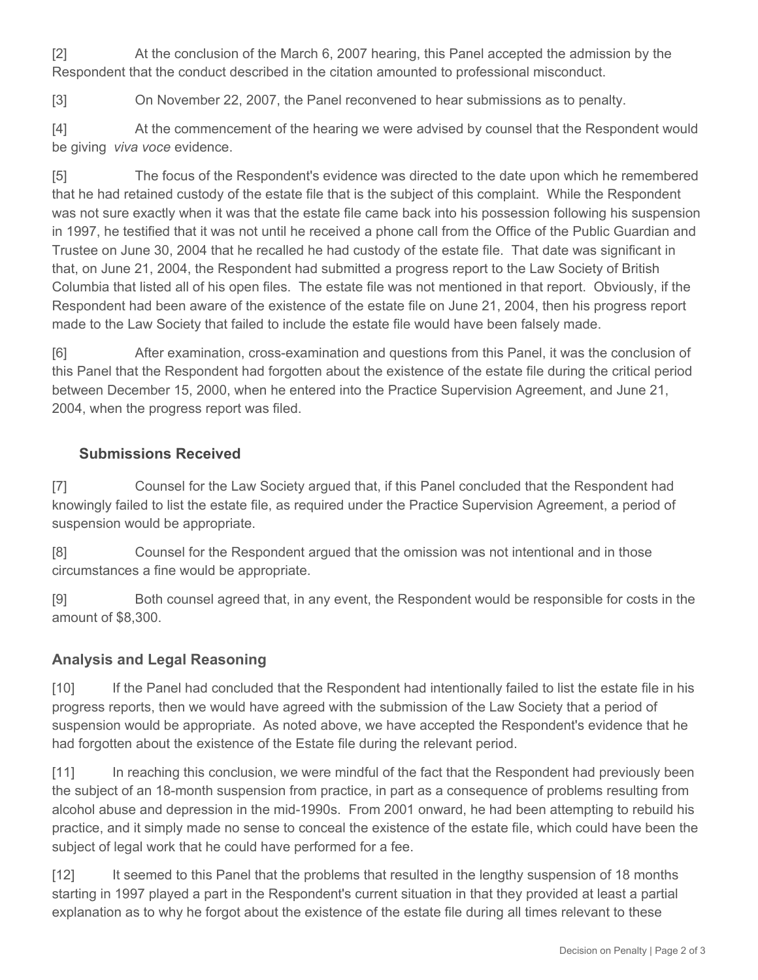[2] At the conclusion of the March 6, 2007 hearing, this Panel accepted the admission by the Respondent that the conduct described in the citation amounted to professional misconduct.

[3] On November 22, 2007, the Panel reconvened to hear submissions as to penalty.

[4] At the commencement of the hearing we were advised by counsel that the Respondent would be giving *viva voce* evidence.

[5] The focus of the Respondent's evidence was directed to the date upon which he remembered that he had retained custody of the estate file that is the subject of this complaint. While the Respondent was not sure exactly when it was that the estate file came back into his possession following his suspension in 1997, he testified that it was not until he received a phone call from the Office of the Public Guardian and Trustee on June 30, 2004 that he recalled he had custody of the estate file. That date was significant in that, on June 21, 2004, the Respondent had submitted a progress report to the Law Society of British Columbia that listed all of his open files. The estate file was not mentioned in that report. Obviously, if the Respondent had been aware of the existence of the estate file on June 21, 2004, then his progress report made to the Law Society that failed to include the estate file would have been falsely made.

[6] After examination, cross-examination and questions from this Panel, it was the conclusion of this Panel that the Respondent had forgotten about the existence of the estate file during the critical period between December 15, 2000, when he entered into the Practice Supervision Agreement, and June 21, 2004, when the progress report was filed.

## **Submissions Received**

[7] Counsel for the Law Society argued that, if this Panel concluded that the Respondent had knowingly failed to list the estate file, as required under the Practice Supervision Agreement, a period of suspension would be appropriate.

[8] Counsel for the Respondent argued that the omission was not intentional and in those circumstances a fine would be appropriate.

[9] Both counsel agreed that, in any event, the Respondent would be responsible for costs in the amount of \$8,300.

## **Analysis and Legal Reasoning**

[10] If the Panel had concluded that the Respondent had intentionally failed to list the estate file in his progress reports, then we would have agreed with the submission of the Law Society that a period of suspension would be appropriate. As noted above, we have accepted the Respondent's evidence that he had forgotten about the existence of the Estate file during the relevant period.

[11] In reaching this conclusion, we were mindful of the fact that the Respondent had previously been the subject of an 18-month suspension from practice, in part as a consequence of problems resulting from alcohol abuse and depression in the mid-1990s. From 2001 onward, he had been attempting to rebuild his practice, and it simply made no sense to conceal the existence of the estate file, which could have been the subject of legal work that he could have performed for a fee.

[12] It seemed to this Panel that the problems that resulted in the lengthy suspension of 18 months starting in 1997 played a part in the Respondent's current situation in that they provided at least a partial explanation as to why he forgot about the existence of the estate file during all times relevant to these